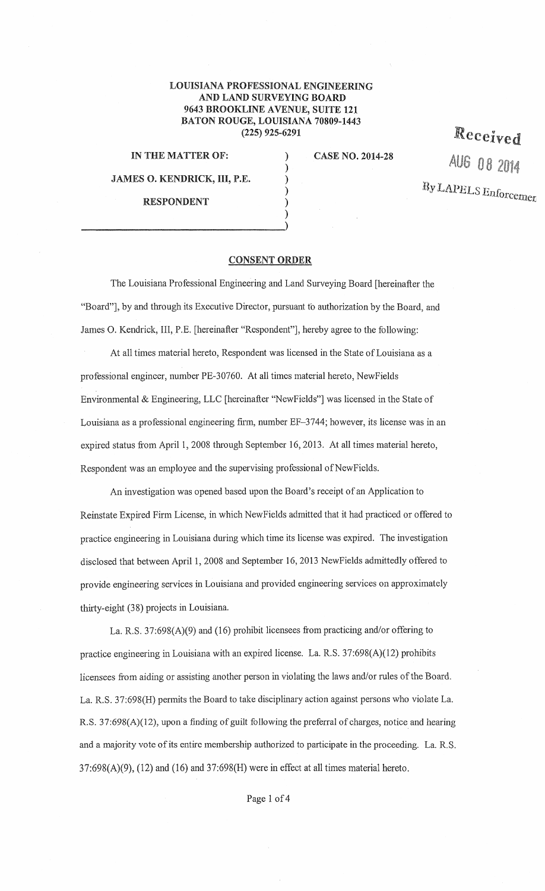## LOUISIANA PROFESSIONAL ENGINEERING AND LAND SURVEYING BOARD 9643 BROOKLINE AVENUE, SUITE 121 BATON ROUGE, LOUISIANA 70809-1443 (225) 925-6291

) ) ) ) )

IN THE MATTER OF:

JAMES 0. KENDRICK, HI, P.E.

) and the contract of the contract of  $\mathcal{L}$  (  $\mathcal{L}$  ) and  $\mathcal{L}$ 

RESPONDENT

CASE NO. 2014-28

Received AUG 08 2014 By LAPELS Enforcemen

## CONSENT ORDER

The Louisiana Professional Engineering and Land Surveying Board [hereinafter the "Board"], by and through its Executive Director, pursuant to authorization by the Board, and James 0. Kendrick, III, P.E. [hereinafter "Respondent"], hereby agree to the following:

At all times material hereto, Respondent was licensed in the State of Louisiana as a professional engineer, number PE-30760. At all times material hereto, NewFields Environmental & Engineering, LLC [hereinafter "NewFields"] was licensed in the State of Louisiana as a professional engineering firm, number EF-3744; however, its license was in an expired status from April 1, 2008 through September 16, 2013. At all times material hereto, Respondent was an employee and the supervising professional of NewFields.

An investigation was opened based upon the Board's receipt of an Application to Reinstate Expired Finn License, in which NewFields admitted that it had practiced or offered to practice engineering in Louisiana during which time its license was expired. The investigation disclosed that between April 1, 2008 and September 16, 2013 NewFields admittedly offered to provide engineering services in Louisiana and provided engineering services on approximately thirty-eight (38) projects in Louisiana.

La. R.S. 37:698(A)(9) and (16) prohibit licensees from practicing and/or offering to practice engineering in Louisiana with an expired license. La. R.S. 37:698(A)(12) prohibits licensees from aiding or assisting another person in violating the laws and/or rules of the Board. La. R.S. 37:698(H) permits the Board to take disciplinary action against persons who violate La. R.S. 37:698(A)(12), upon a finding of guilt following the preferral of charges, notice and hearing and a majority vote of its entire membership authorized to participate in the proceeding. La. R.S.  $37:698(A)(9)$ ,  $(12)$  and  $(16)$  and  $37:698(H)$  were in effect at all times material hereto.

Page 1 of 4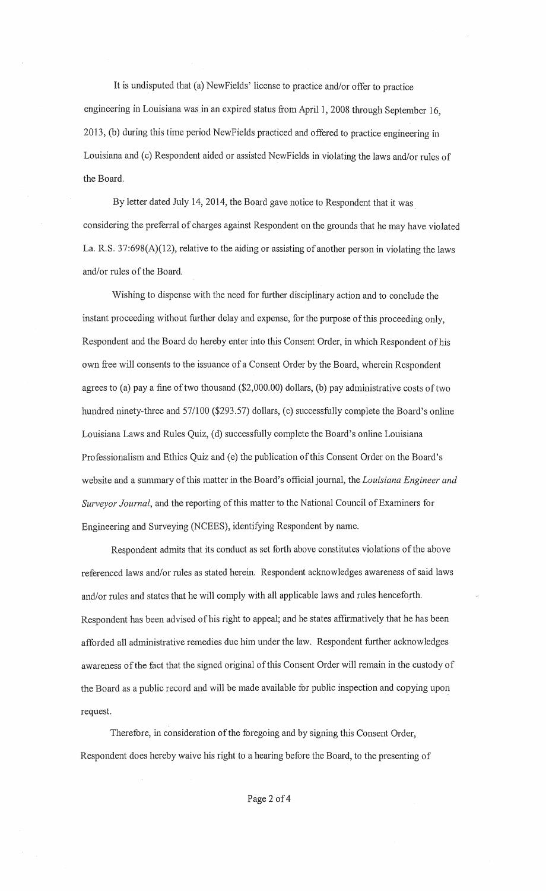It is undisputed that (a) NewFields' license to practice and/or offer to practice engineering in Louisiana was in an expired status from April 1, 2008 through September 16, 2013, (b) during this time period NewFields practiced and offered to practice engineering in Louisiana and (c) Respondent aided or assisted NewFields in violating the laws and/or rules of the Board.

By letter dated July 14, 2014, the Board gave notice to Respondent that it was considering the preferral of charges against Respondent on the grounds that he may have violated La. R.S. 37:698(A)(12), relative to the aiding or assisting of another person in violating the laws and/or rules of the Board.

Wishing to dispense with the need for further disciplinary action and to conclude the instant proceeding without further delay and expense, for the purpose of this proceeding only, Respondent and the Board do hereby enter into this Consent Order, in which Respondent of his own free will consents to the issuance of a Consent Order by the Board, wherein Respondent agrees to (a) pay a fine of two thousand (\$2,000.00) dollars, (b) pay administrative costs of two hundred ninety-three and 57/100 (\$293.57) dollars, (c) successfully complete the Board's online Louisiana Laws and Rules Quiz, (d) successfully complete the Board's online Louisiana Professionalism and Ethics Quiz and (e) the publication of this Consent Order on the Board's website and a summary of this matter in the Board's official journal, the *Louisiana Engineer and Surveyor Journal,* and the reporting of this matter to the National Council of Examiners for Engineering and Surveying (NCEES), identifying Respondent by name.

Respondent admits that its conduct as set forth above constitutes violations of the above referenced laws and/or rules as stated herein. Respondent acknowledges awareness of said laws and/or rules and states that he will comply with all applicable laws and rules henceforth. Respondent has been advised of his right to appeal; and he states affrrmatively that he has been afforded all administrative remedies due him under the law. Respondent further acknowledges awareness of the fact that the signed original of this Consent Order will remain in the custody of the Board as a public record and will be made available for public inspection and copying upon request.

Therefore, in consideration of the foregoing and by signing this Consent Order, Respondent does hereby waive his right to a hearing before the Board, to the presenting of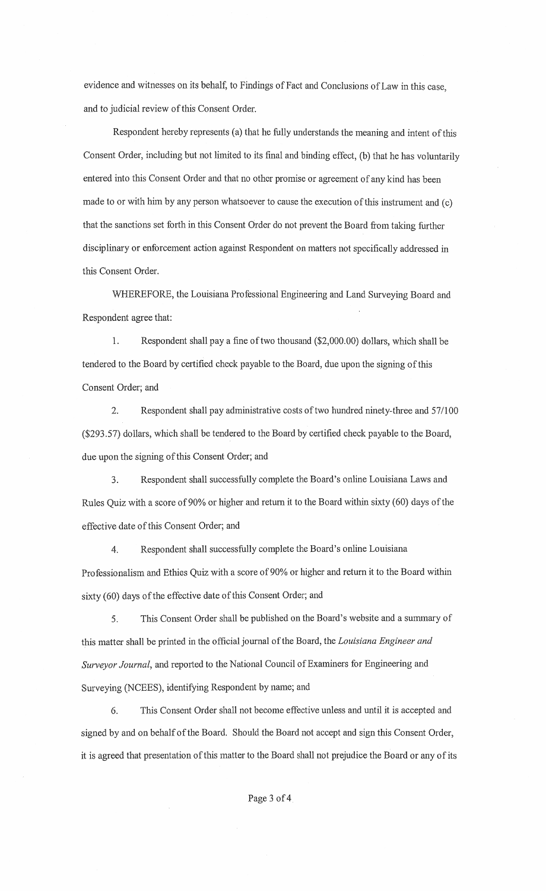evidence and witnesses on its behalf, to Findings of Fact and Conclusions of Law in this case, and to judicial review of this Consent Order.

Respondent hereby represents (a) that he fully understands the meaning and intent of this Consent Order, including but not limited to its final and binding effect, (b) that he has voluntarily entered into this Consent Order and that no other promise or agreement of any kind has been made to or with him by any person whatsoever to cause the execution of this instrument and (c) that the sanctions set forth in this Consent Order do not prevent the Board from taking further disciplinary or enforcement action against Respondent on matters not specifically addressed in this Consent Order.

WHEREFORE, the Louisiana Professional Engineering and Land Surveying Board and Respondent agree that:

1. Respondent shall pay a fine of two thousand (\$2,000.00) dollars, which shall be tendered to the Board by certified check payable to the Board, due upon the signing of this Consent Order; and

2. Respondent shall pay administrative costs of two hundred ninety-three and 57/100 (\$293.57) dollars, which shall be tendered to the Board by certified check payable to the Board, due upon the signing of this Consent Order; and

3. Respondent shall successfully complete the Board's online Louisiana Laws and Rules Quiz with a score of 90% or higher and return it to the Board within sixty (60) days of the effective date of this Consent Order; and

4. Respondent shall successfully complete the Board's online Louisiana Professionalism and Ethics Quiz with a score of 90% or higher and return it to the Board within sixty (60) days of the effective date of this Consent Order; and

5. This Consent Order shall be published on the Board's website and a summary of this matter shall be printed in the official journal ofthe Board, the *Louisiana Engineer and Surveyor Journal,* and reported to the National Council of Examiners for Engineering and Surveying (NCEES), identifying Respondent by name; and

6. This Consent Order shall not become effective unless and until it is accepted and signed by and on behalf of the Board. Should the Board not accept and sign this Consent Order, it is agreed that presentation of this matter to the Board shall not prejudice the Board or any of its